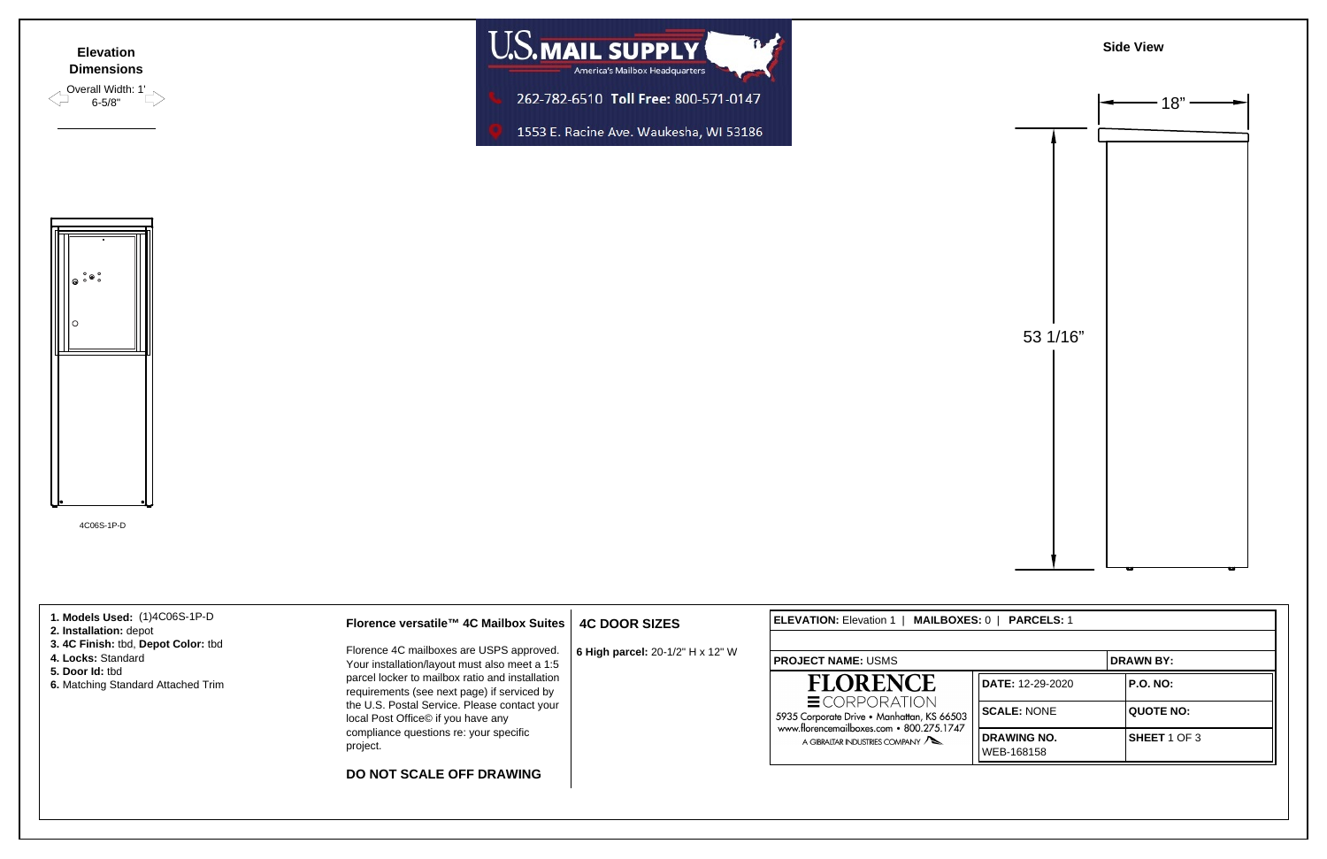4C06S-1P-D









| 1. Models Used: (1)4C06S-1P-D<br>2. Installation: depot<br>3.4C Finish: tbd, Depot Color: tbd<br>4. Locks: Standard<br>5. Door Id: tbd<br>6. Matching Standard Attached Trim | Florence versatile™ 4C Mailbox Suites  <br>Florence 4C mailboxes are USPS approved.<br>Your installation/layout must also meet a 1:5<br>parcel locker to mailbox ratio and installation<br>requirements (see next page) if serviced by<br>the U.S. Postal Service. Please contact your<br>local Post Office© if you have any | <b>4C DOOR SIZES</b><br>6 High parcel: 20-1/2" H x 12" W | <b>IELEVATION: Elevation 1</b><br>MAILBOXES: 0  <br><b>PARCELS: 1</b>                                                                                               |                           |                  |
|------------------------------------------------------------------------------------------------------------------------------------------------------------------------------|------------------------------------------------------------------------------------------------------------------------------------------------------------------------------------------------------------------------------------------------------------------------------------------------------------------------------|----------------------------------------------------------|---------------------------------------------------------------------------------------------------------------------------------------------------------------------|---------------------------|------------------|
|                                                                                                                                                                              |                                                                                                                                                                                                                                                                                                                              |                                                          | <b>PROJECT NAME: USMS</b>                                                                                                                                           |                           | <b>DRAWN BY:</b> |
|                                                                                                                                                                              |                                                                                                                                                                                                                                                                                                                              |                                                          | <b>FLORENCE</b><br>$\equiv$ CORPORATION<br>5935 Corporate Drive • Manhattan, KS 66503<br>www.florencemailboxes.com • 800.275.1747<br>A GIBRALTAR INDUSTRIES COMPANY | DATE: 12-29-2020          | <b>P.O. NO:</b>  |
|                                                                                                                                                                              |                                                                                                                                                                                                                                                                                                                              |                                                          |                                                                                                                                                                     | SCALE: NONE               | <b>QUOTE NO:</b> |
|                                                                                                                                                                              | compliance questions re: your specific<br>project.                                                                                                                                                                                                                                                                           |                                                          |                                                                                                                                                                     | DRAWING NO.<br>WEB-168158 | SHEET 1 OF 3     |
|                                                                                                                                                                              | <b>DO NOT SCALE OFF DRAWING</b>                                                                                                                                                                                                                                                                                              |                                                          |                                                                                                                                                                     |                           |                  |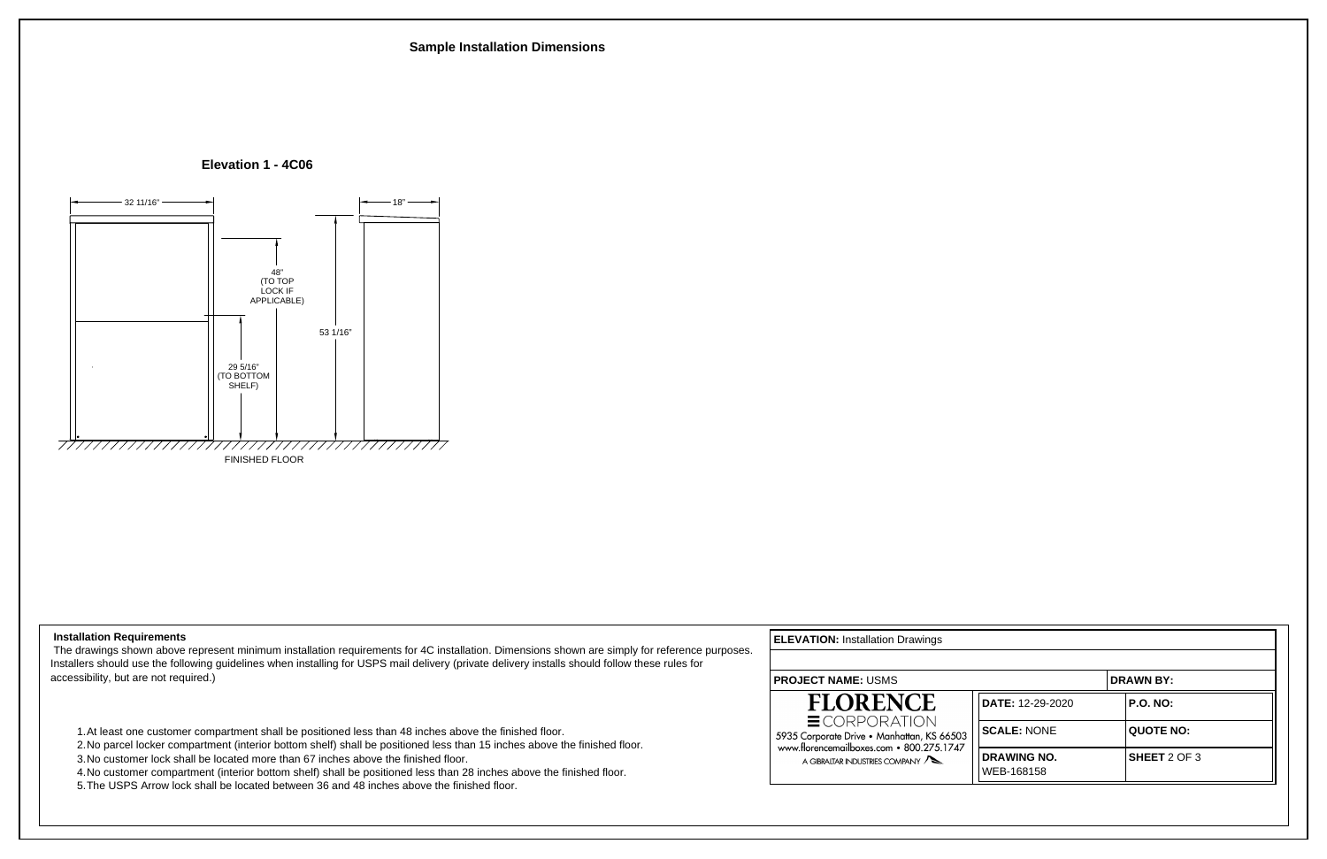## **Installation Requirements**

 The drawings shown above represent minimum installation requirements for 4C installation. Dimensions shown are simply for reference purposes. Installers should use the following guidelines when installing for USPS mail delivery (private delivery installs should follow these rules for accessibility, but are not required.)

- 1.At least one customer compartment shall be positioned less than 48 inches above the finished floor.
- 2.No parcel locker compartment (interior bottom shelf) shall be positioned less than 15 inches above the finished floor.
- 3.No customer lock shall be located more than 67 inches above the finished floor.
- 4.No customer compartment (interior bottom shelf) shall be positioned less than 28 inches above the finished floor.
- 5.The USPS Arrow lock shall be located between 36 and 48 inches above the finished floor.

**ELEVATION:** Installation Drawings



| <b>DRAWN BY:</b>                 |  |                  |  |  |  |
|----------------------------------|--|------------------|--|--|--|
| DATE: 12-29-2020                 |  | <b>P.O. NO:</b>  |  |  |  |
| <b>SCALE: NONE</b>               |  | <b>QUOTE NO:</b> |  |  |  |
| <b>DRAWING NO.</b><br>WEB-168158 |  | SHEET 2 OF 3     |  |  |  |



 **Elevation 1 - 4C06**

FINISHED FLOOR